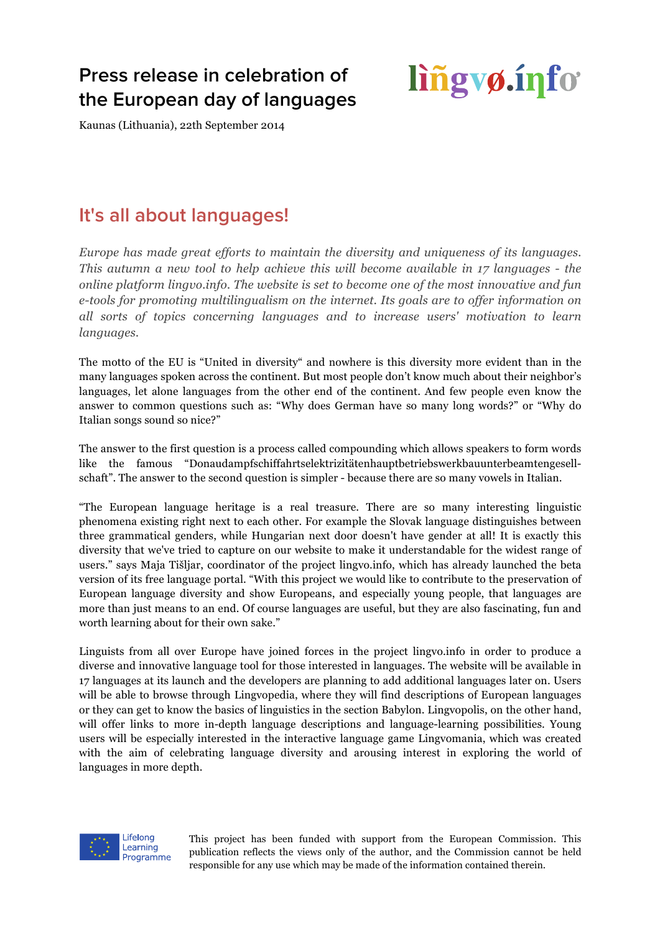## **Press release in celebration of the European day of languages**

# lingvø.info

Kaunas (Lithuania), 22th September 2014

## **It's all about languages!**

*Europe has made great efforts to maintain the diversity and uniqueness of its languages. This autumn a new tool to help achieve this will become available in 17 languages - the online platform lingvo.info. The website is set to become one of the most innovative and fun e-tools for promoting multilingualism on the internet. Its goals are to offer information on all sorts of topics concerning languages and to increase users' motivation to learn languages.*

The motto of the EU is "United in diversity" and nowhere is this diversity more evident than in the many languages spoken across the continent. But most people don't know much about their neighbor's languages, let alone languages from the other end of the continent. And few people even know the answer to common questions such as: "Why does German have so many long words?" or "Why do Italian songs sound so nice?"

The answer to the first question is a process called compounding which allows speakers to form words like the famous "Donaudampfschiffahrtselektrizitätenhauptbetriebswerkbauunterbeamtengesellschaft". The answer to the second question is simpler - because there are so many vowels in Italian.

"The European language heritage is a real treasure. There are so many interesting linguistic phenomena existing right next to each other. For example the Slovak language distinguishes between three grammatical genders, while Hungarian next door doesn't have gender at all! It is exactly this diversity that we've tried to capture on our website to make it understandable for the widest range of users." says Maja Tišljar, coordinator of the project lingvo.info, which has already launched the beta version of its free language portal. "With this project we would like to contribute to the preservation of European language diversity and show Europeans, and especially young people, that languages are more than just means to an end. Of course languages are useful, but they are also fascinating, fun and worth learning about for their own sake."

Linguists from all over Europe have joined forces in the project lingvo.info in order to produce a diverse and innovative language tool for those interested in languages. The website will be available in 17 languages at its launch and the developers are planning to add additional languages later on. Users will be able to browse through Lingvopedia, where they will find descriptions of European languages or they can get to know the basics of linguistics in the section Babylon. Lingvopolis, on the other hand, will offer links to more in-depth language descriptions and language-learning possibilities. Young users will be especially interested in the interactive language game Lingvomania, which was created with the aim of celebrating language diversity and arousing interest in exploring the world of languages in more depth.



This project has been funded with support from the European Commission. This publication reflects the views only of the author, and the Commission cannot be held responsible for any use which may be made of the information contained therein.